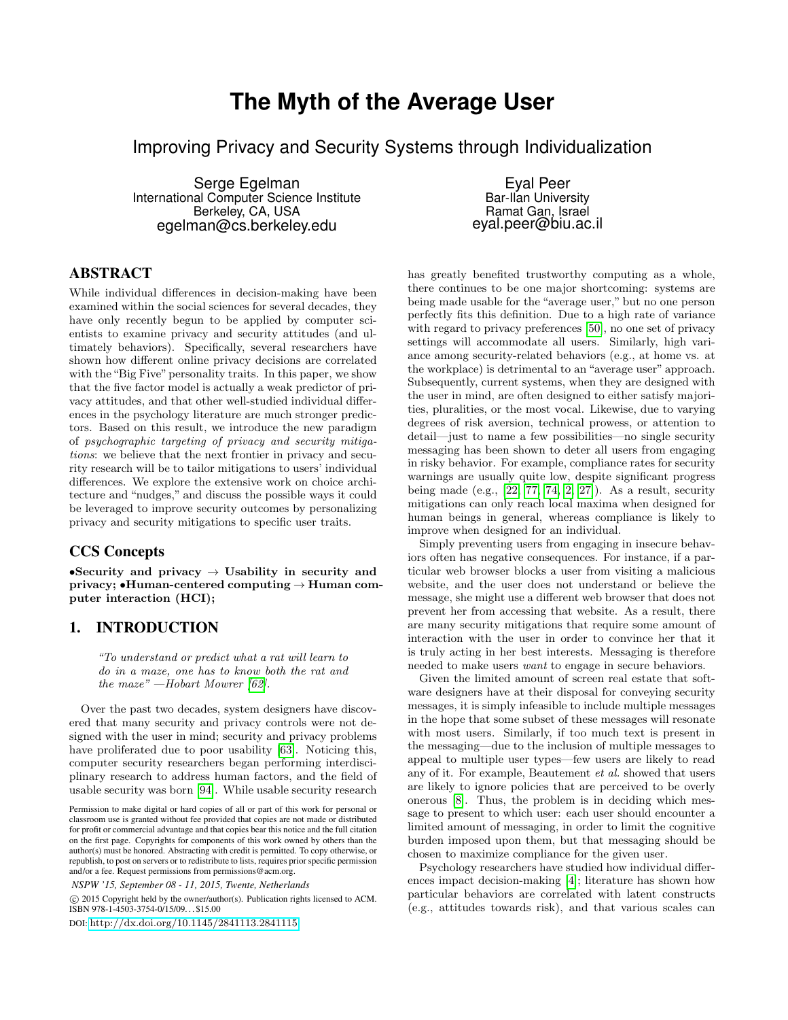# **The Myth of the Average User**

Improving Privacy and Security Systems through Individualization

Serge Egelman International Computer Science Institute Berkeley, CA, USA egelman@cs.berkeley.edu

Eyal Peer Bar-Ilan University Ramat Gan, Israel eyal.peer@biu.ac.il

# ABSTRACT

While individual differences in decision-making have been examined within the social sciences for several decades, they have only recently begun to be applied by computer scientists to examine privacy and security attitudes (and ultimately behaviors). Specifically, several researchers have shown how different online privacy decisions are correlated with the "Big Five" personality traits. In this paper, we show that the five factor model is actually a weak predictor of privacy attitudes, and that other well-studied individual differences in the psychology literature are much stronger predictors. Based on this result, we introduce the new paradigm of psychographic targeting of privacy and security mitigations: we believe that the next frontier in privacy and security research will be to tailor mitigations to users' individual differences. We explore the extensive work on choice architecture and "nudges," and discuss the possible ways it could be leveraged to improve security outcomes by personalizing privacy and security mitigations to specific user traits.

# CCS Concepts

•Security and privacy  $\rightarrow$  Usability in security and privacy; •Human-centered computing  $\rightarrow$  Human computer interaction (HCI);

# 1. INTRODUCTION

"To understand or predict what a rat will learn to do in a maze, one has to know both the rat and the maze"  $-Hobart$  Mowrer [\[62\]](#page-11-0).

Over the past two decades, system designers have discovered that many security and privacy controls were not designed with the user in mind; security and privacy problems have proliferated due to poor usability [\[63\]](#page-11-1). Noticing this, computer security researchers began performing interdisciplinary research to address human factors, and the field of usable security was born [\[94\]](#page-12-0). While usable security research

 c 2015 Copyright held by the owner/author(s). Publication rights licensed to ACM. ISBN 978-1-4503-3754-0/15/09. . . \$15.00

DOI: <http://dx.doi.org/10.1145/2841113.2841115>

has greatly benefited trustworthy computing as a whole, there continues to be one major shortcoming: systems are being made usable for the "average user," but no one person perfectly fits this definition. Due to a high rate of variance with regard to privacy preferences [\[50\]](#page-11-2), no one set of privacy settings will accommodate all users. Similarly, high variance among security-related behaviors (e.g., at home vs. at the workplace) is detrimental to an "average user" approach. Subsequently, current systems, when they are designed with the user in mind, are often designed to either satisfy majorities, pluralities, or the most vocal. Likewise, due to varying degrees of risk aversion, technical prowess, or attention to detail—just to name a few possibilities—no single security messaging has been shown to deter all users from engaging in risky behavior. For example, compliance rates for security warnings are usually quite low, despite significant progress being made (e.g.,  $[22, 77, 74, 2, 27]$  $[22, 77, 74, 2, 27]$  $[22, 77, 74, 2, 27]$  $[22, 77, 74, 2, 27]$  $[22, 77, 74, 2, 27]$ ). As a result, security mitigations can only reach local maxima when designed for human beings in general, whereas compliance is likely to improve when designed for an individual.

Simply preventing users from engaging in insecure behaviors often has negative consequences. For instance, if a particular web browser blocks a user from visiting a malicious website, and the user does not understand or believe the message, she might use a different web browser that does not prevent her from accessing that website. As a result, there are many security mitigations that require some amount of interaction with the user in order to convince her that it is truly acting in her best interests. Messaging is therefore needed to make users want to engage in secure behaviors.

Given the limited amount of screen real estate that software designers have at their disposal for conveying security messages, it is simply infeasible to include multiple messages in the hope that some subset of these messages will resonate with most users. Similarly, if too much text is present in the messaging—due to the inclusion of multiple messages to appeal to multiple user types—few users are likely to read any of it. For example, Beautement et al. showed that users are likely to ignore policies that are perceived to be overly onerous [\[8\]](#page-10-2). Thus, the problem is in deciding which message to present to which user: each user should encounter a limited amount of messaging, in order to limit the cognitive burden imposed upon them, but that messaging should be chosen to maximize compliance for the given user.

Psychology researchers have studied how individual differences impact decision-making [\[4\]](#page-9-1); literature has shown how particular behaviors are correlated with latent constructs (e.g., attitudes towards risk), and that various scales can

Permission to make digital or hard copies of all or part of this work for personal or classroom use is granted without fee provided that copies are not made or distributed for profit or commercial advantage and that copies bear this notice and the full citation on the first page. Copyrights for components of this work owned by others than the author(s) must be honored. Abstracting with credit is permitted. To copy otherwise, or republish, to post on servers or to redistribute to lists, requires prior specific permission and/or a fee. Request permissions from permissions@acm.org.

*NSPW '15, September 08 - 11, 2015, Twente, Netherlands*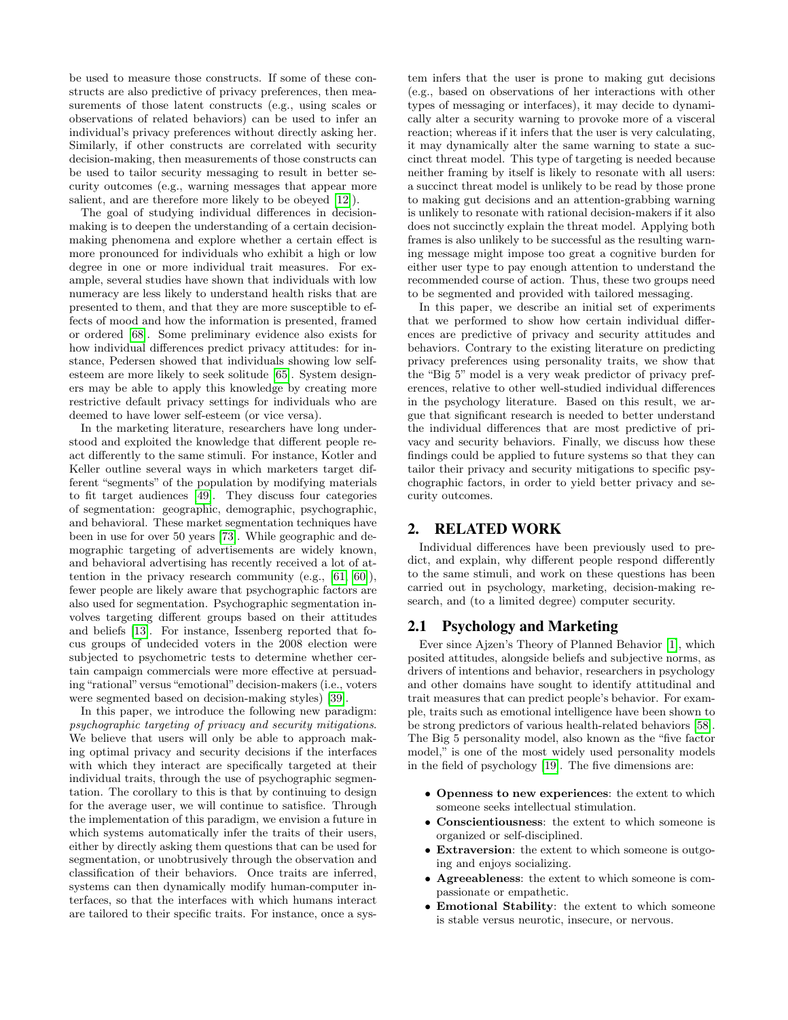be used to measure those constructs. If some of these constructs are also predictive of privacy preferences, then measurements of those latent constructs (e.g., using scales or observations of related behaviors) can be used to infer an individual's privacy preferences without directly asking her. Similarly, if other constructs are correlated with security decision-making, then measurements of those constructs can be used to tailor security messaging to result in better security outcomes (e.g., warning messages that appear more salient, and are therefore more likely to be obeyed [\[12\]](#page-10-3)).

The goal of studying individual differences in decisionmaking is to deepen the understanding of a certain decisionmaking phenomena and explore whether a certain effect is more pronounced for individuals who exhibit a high or low degree in one or more individual trait measures. For example, several studies have shown that individuals with low numeracy are less likely to understand health risks that are presented to them, and that they are more susceptible to effects of mood and how the information is presented, framed or ordered [\[68\]](#page-12-3). Some preliminary evidence also exists for how individual differences predict privacy attitudes: for instance, Pedersen showed that individuals showing low selfesteem are more likely to seek solitude [\[65\]](#page-11-3). System designers may be able to apply this knowledge by creating more restrictive default privacy settings for individuals who are deemed to have lower self-esteem (or vice versa).

In the marketing literature, researchers have long understood and exploited the knowledge that different people react differently to the same stimuli. For instance, Kotler and Keller outline several ways in which marketers target different "segments" of the population by modifying materials to fit target audiences [\[49\]](#page-11-4). They discuss four categories of segmentation: geographic, demographic, psychographic, and behavioral. These market segmentation techniques have been in use for over 50 years [\[73\]](#page-12-4). While geographic and demographic targeting of advertisements are widely known, and behavioral advertising has recently received a lot of attention in the privacy research community (e.g., [\[61,](#page-11-5) [60\]](#page-11-6)), fewer people are likely aware that psychographic factors are also used for segmentation. Psychographic segmentation involves targeting different groups based on their attitudes and beliefs [\[13\]](#page-10-4). For instance, Issenberg reported that focus groups of undecided voters in the 2008 election were subjected to psychometric tests to determine whether certain campaign commercials were more effective at persuading "rational" versus "emotional" decision-makers (i.e., voters were segmented based on decision-making styles) [\[39\]](#page-11-7).

In this paper, we introduce the following new paradigm: psychographic targeting of privacy and security mitigations. We believe that users will only be able to approach making optimal privacy and security decisions if the interfaces with which they interact are specifically targeted at their individual traits, through the use of psychographic segmentation. The corollary to this is that by continuing to design for the average user, we will continue to satisfice. Through the implementation of this paradigm, we envision a future in which systems automatically infer the traits of their users, either by directly asking them questions that can be used for segmentation, or unobtrusively through the observation and classification of their behaviors. Once traits are inferred, systems can then dynamically modify human-computer interfaces, so that the interfaces with which humans interact are tailored to their specific traits. For instance, once a system infers that the user is prone to making gut decisions (e.g., based on observations of her interactions with other types of messaging or interfaces), it may decide to dynamically alter a security warning to provoke more of a visceral reaction; whereas if it infers that the user is very calculating, it may dynamically alter the same warning to state a succinct threat model. This type of targeting is needed because neither framing by itself is likely to resonate with all users: a succinct threat model is unlikely to be read by those prone to making gut decisions and an attention-grabbing warning is unlikely to resonate with rational decision-makers if it also does not succinctly explain the threat model. Applying both frames is also unlikely to be successful as the resulting warning message might impose too great a cognitive burden for either user type to pay enough attention to understand the recommended course of action. Thus, these two groups need to be segmented and provided with tailored messaging.

In this paper, we describe an initial set of experiments that we performed to show how certain individual differences are predictive of privacy and security attitudes and behaviors. Contrary to the existing literature on predicting privacy preferences using personality traits, we show that the "Big 5" model is a very weak predictor of privacy preferences, relative to other well-studied individual differences in the psychology literature. Based on this result, we argue that significant research is needed to better understand the individual differences that are most predictive of privacy and security behaviors. Finally, we discuss how these findings could be applied to future systems so that they can tailor their privacy and security mitigations to specific psychographic factors, in order to yield better privacy and security outcomes.

# <span id="page-1-0"></span>2. RELATED WORK

Individual differences have been previously used to predict, and explain, why different people respond differently to the same stimuli, and work on these questions has been carried out in psychology, marketing, decision-making research, and (to a limited degree) computer security.

# 2.1 Psychology and Marketing

Ever since Ajzen's Theory of Planned Behavior [\[1\]](#page-9-2), which posited attitudes, alongside beliefs and subjective norms, as drivers of intentions and behavior, researchers in psychology and other domains have sought to identify attitudinal and trait measures that can predict people's behavior. For example, traits such as emotional intelligence have been shown to be strong predictors of various health-related behaviors [\[58\]](#page-11-8). The Big 5 personality model, also known as the "five factor model," is one of the most widely used personality models in the field of psychology [\[19\]](#page-10-5). The five dimensions are:

- Openness to new experiences: the extent to which someone seeks intellectual stimulation.
- Conscientiousness: the extent to which someone is organized or self-disciplined.
- Extraversion: the extent to which someone is outgoing and enjoys socializing.
- Agreeableness: the extent to which someone is compassionate or empathetic.
- Emotional Stability: the extent to which someone is stable versus neurotic, insecure, or nervous.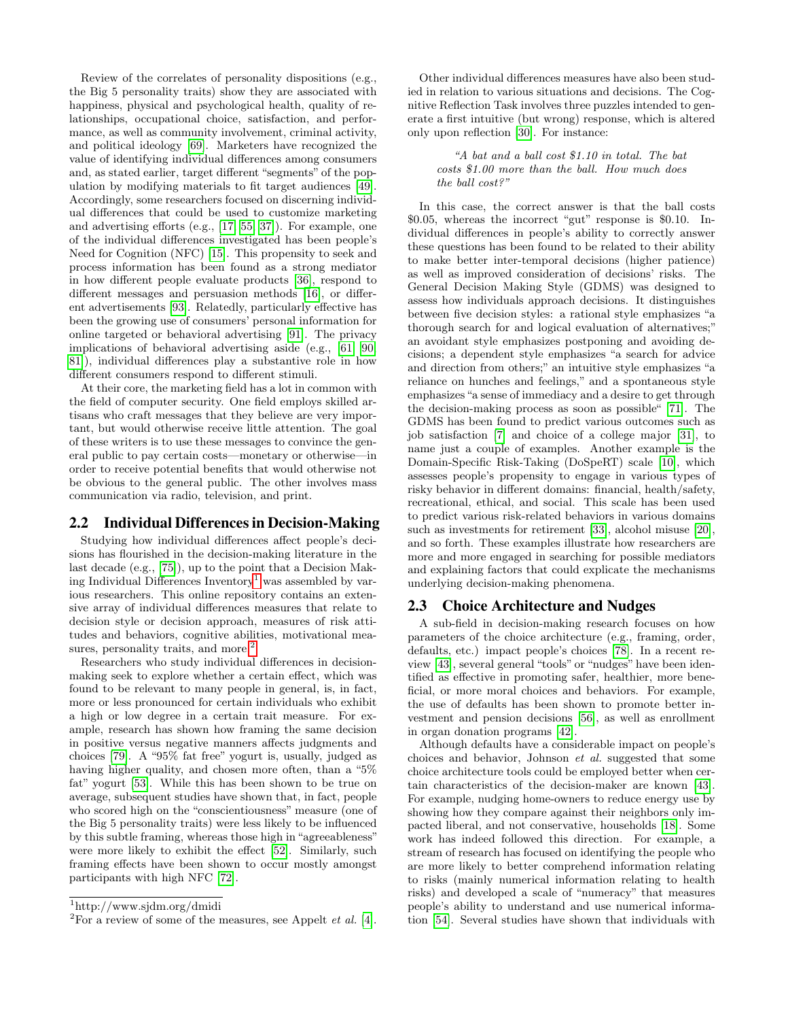Review of the correlates of personality dispositions (e.g., the Big 5 personality traits) show they are associated with happiness, physical and psychological health, quality of relationships, occupational choice, satisfaction, and performance, as well as community involvement, criminal activity, and political ideology [\[69\]](#page-12-5). Marketers have recognized the value of identifying individual differences among consumers and, as stated earlier, target different "segments" of the population by modifying materials to fit target audiences [\[49\]](#page-11-4). Accordingly, some researchers focused on discerning individual differences that could be used to customize marketing and advertising efforts (e.g., [\[17,](#page-10-6) [55,](#page-11-9) [37\]](#page-11-10)). For example, one of the individual differences investigated has been people's Need for Cognition (NFC) [\[15\]](#page-10-7). This propensity to seek and process information has been found as a strong mediator in how different people evaluate products [\[36\]](#page-11-11), respond to different messages and persuasion methods [\[16\]](#page-10-8), or different advertisements [\[93\]](#page-12-6). Relatedly, particularly effective has been the growing use of consumers' personal information for online targeted or behavioral advertising [\[91\]](#page-12-7). The privacy implications of behavioral advertising aside (e.g., [\[61,](#page-11-5) [90,](#page-12-8) [81\]](#page-12-9)), individual differences play a substantive role in how different consumers respond to different stimuli.

At their core, the marketing field has a lot in common with the field of computer security. One field employs skilled artisans who craft messages that they believe are very important, but would otherwise receive little attention. The goal of these writers is to use these messages to convince the general public to pay certain costs—monetary or otherwise—in order to receive potential benefits that would otherwise not be obvious to the general public. The other involves mass communication via radio, television, and print.

# 2.2 Individual Differences in Decision-Making

Studying how individual differences affect people's decisions has flourished in the decision-making literature in the last decade (e.g., [\[75\]](#page-12-10)), up to the point that a Decision Mak-ing Individual Differences Inventory<sup>[1](#page-2-0)</sup> was assembled by various researchers. This online repository contains an extensive array of individual differences measures that relate to decision style or decision approach, measures of risk attitudes and behaviors, cognitive abilities, motivational mea-sures, personality traits, and more.<sup>[2](#page-2-1)</sup>

Researchers who study individual differences in decisionmaking seek to explore whether a certain effect, which was found to be relevant to many people in general, is, in fact, more or less pronounced for certain individuals who exhibit a high or low degree in a certain trait measure. For example, research has shown how framing the same decision in positive versus negative manners affects judgments and choices [\[79\]](#page-12-11). A "95% fat free" yogurt is, usually, judged as having higher quality, and chosen more often, than a "5% fat" yogurt [\[53\]](#page-11-12). While this has been shown to be true on average, subsequent studies have shown that, in fact, people who scored high on the "conscientiousness" measure (one of the Big 5 personality traits) were less likely to be influenced by this subtle framing, whereas those high in "agreeableness" were more likely to exhibit the effect [\[52\]](#page-11-13). Similarly, such framing effects have been shown to occur mostly amongst participants with high NFC [\[72\]](#page-12-12).

Other individual differences measures have also been studied in relation to various situations and decisions. The Cognitive Reflection Task involves three puzzles intended to generate a first intuitive (but wrong) response, which is altered only upon reflection [\[30\]](#page-10-9). For instance:

"A bat and a ball cost \$1.10 in total. The bat costs \$1.00 more than the ball. How much does the ball cost?"

In this case, the correct answer is that the ball costs \$0.05, whereas the incorrect "gut" response is \$0.10. Individual differences in people's ability to correctly answer these questions has been found to be related to their ability to make better inter-temporal decisions (higher patience) as well as improved consideration of decisions' risks. The General Decision Making Style (GDMS) was designed to assess how individuals approach decisions. It distinguishes between five decision styles: a rational style emphasizes "a thorough search for and logical evaluation of alternatives; an avoidant style emphasizes postponing and avoiding decisions; a dependent style emphasizes "a search for advice and direction from others;" an intuitive style emphasizes "a reliance on hunches and feelings," and a spontaneous style emphasizes "a sense of immediacy and a desire to get through the decision-making process as soon as possible" [\[71\]](#page-12-13). The GDMS has been found to predict various outcomes such as job satisfaction [\[7\]](#page-9-3) and choice of a college major [\[31\]](#page-10-10), to name just a couple of examples. Another example is the Domain-Specific Risk-Taking (DoSpeRT) scale [\[10\]](#page-10-11), which assesses people's propensity to engage in various types of risky behavior in different domains: financial, health/safety, recreational, ethical, and social. This scale has been used to predict various risk-related behaviors in various domains such as investments for retirement [\[33\]](#page-10-12), alcohol misuse [\[20\]](#page-10-13), and so forth. These examples illustrate how researchers are more and more engaged in searching for possible mediators and explaining factors that could explicate the mechanisms underlying decision-making phenomena.

# 2.3 Choice Architecture and Nudges

A sub-field in decision-making research focuses on how parameters of the choice architecture (e.g., framing, order, defaults, etc.) impact people's choices [\[78\]](#page-12-14). In a recent review [\[43\]](#page-11-14), several general "tools" or "nudges" have been identified as effective in promoting safer, healthier, more beneficial, or more moral choices and behaviors. For example, the use of defaults has been shown to promote better investment and pension decisions [\[56\]](#page-11-15), as well as enrollment in organ donation programs [\[42\]](#page-11-16).

Although defaults have a considerable impact on people's choices and behavior, Johnson et al. suggested that some choice architecture tools could be employed better when certain characteristics of the decision-maker are known [\[43\]](#page-11-14). For example, nudging home-owners to reduce energy use by showing how they compare against their neighbors only impacted liberal, and not conservative, households [\[18\]](#page-10-14). Some work has indeed followed this direction. For example, a stream of research has focused on identifying the people who are more likely to better comprehend information relating to risks (mainly numerical information relating to health risks) and developed a scale of "numeracy" that measures people's ability to understand and use numerical information [\[54\]](#page-11-17). Several studies have shown that individuals with

<span id="page-2-0"></span><sup>1</sup>http://www.sjdm.org/dmidi

<span id="page-2-1"></span><sup>&</sup>lt;sup>2</sup>For a review of some of the measures, see Appelt *et al.* [\[4\]](#page-9-1).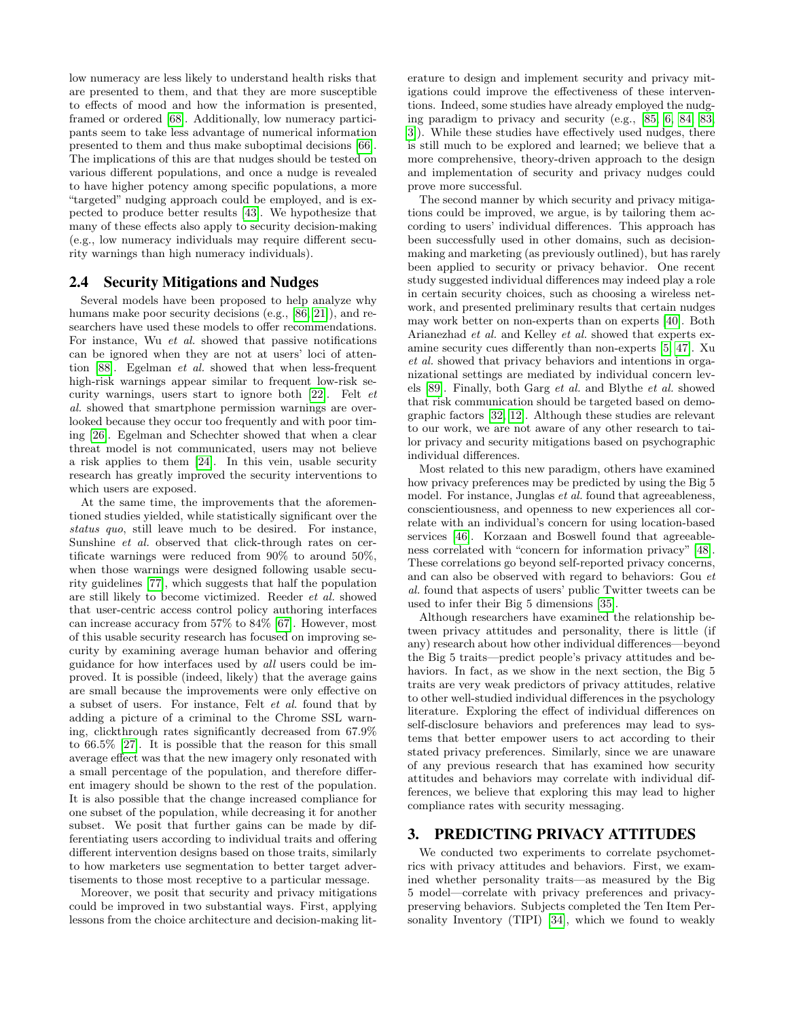low numeracy are less likely to understand health risks that are presented to them, and that they are more susceptible to effects of mood and how the information is presented, framed or ordered [\[68\]](#page-12-3). Additionally, low numeracy participants seem to take less advantage of numerical information presented to them and thus make suboptimal decisions [\[66\]](#page-11-18). The implications of this are that nudges should be tested on various different populations, and once a nudge is revealed to have higher potency among specific populations, a more "targeted" nudging approach could be employed, and is expected to produce better results [\[43\]](#page-11-14). We hypothesize that many of these effects also apply to security decision-making (e.g., low numeracy individuals may require different security warnings than high numeracy individuals).

# 2.4 Security Mitigations and Nudges

Several models have been proposed to help analyze why humans make poor security decisions (e.g., [\[86,](#page-12-15) [21\]](#page-10-15)), and researchers have used these models to offer recommendations. For instance, Wu et al. showed that passive notifications can be ignored when they are not at users' loci of attention [\[88\]](#page-12-16). Egelman et al. showed that when less-frequent high-risk warnings appear similar to frequent low-risk security warnings, users start to ignore both [\[22\]](#page-10-0). Felt et al. showed that smartphone permission warnings are overlooked because they occur too frequently and with poor timing [\[26\]](#page-10-16). Egelman and Schechter showed that when a clear threat model is not communicated, users may not believe a risk applies to them [\[24\]](#page-10-17). In this vein, usable security research has greatly improved the security interventions to which users are exposed.

At the same time, the improvements that the aforementioned studies yielded, while statistically significant over the status quo, still leave much to be desired. For instance, Sunshine et al. observed that click-through rates on certificate warnings were reduced from 90% to around 50%, when those warnings were designed following usable security guidelines [\[77\]](#page-12-1), which suggests that half the population are still likely to become victimized. Reeder et al. showed that user-centric access control policy authoring interfaces can increase accuracy from 57% to 84% [\[67\]](#page-12-17). However, most of this usable security research has focused on improving security by examining average human behavior and offering guidance for how interfaces used by all users could be improved. It is possible (indeed, likely) that the average gains are small because the improvements were only effective on a subset of users. For instance, Felt et al. found that by adding a picture of a criminal to the Chrome SSL warning, clickthrough rates significantly decreased from 67.9% to 66.5% [\[27\]](#page-10-1). It is possible that the reason for this small average effect was that the new imagery only resonated with a small percentage of the population, and therefore different imagery should be shown to the rest of the population. It is also possible that the change increased compliance for one subset of the population, while decreasing it for another subset. We posit that further gains can be made by differentiating users according to individual traits and offering different intervention designs based on those traits, similarly to how marketers use segmentation to better target advertisements to those most receptive to a particular message.

Moreover, we posit that security and privacy mitigations could be improved in two substantial ways. First, applying lessons from the choice architecture and decision-making literature to design and implement security and privacy mitigations could improve the effectiveness of these interventions. Indeed, some studies have already employed the nudging paradigm to privacy and security (e.g., [\[85,](#page-12-18) [6,](#page-9-4) [84,](#page-12-19) [83,](#page-12-20) [3\]](#page-9-5)). While these studies have effectively used nudges, there is still much to be explored and learned; we believe that a more comprehensive, theory-driven approach to the design and implementation of security and privacy nudges could prove more successful.

The second manner by which security and privacy mitigations could be improved, we argue, is by tailoring them according to users' individual differences. This approach has been successfully used in other domains, such as decisionmaking and marketing (as previously outlined), but has rarely been applied to security or privacy behavior. One recent study suggested individual differences may indeed play a role in certain security choices, such as choosing a wireless network, and presented preliminary results that certain nudges may work better on non-experts than on experts [\[40\]](#page-11-19). Both Arianezhad et al. and Kelley et al. showed that experts examine security cues differently than non-experts [\[5,](#page-9-6) [47\]](#page-11-20). Xu et al. showed that privacy behaviors and intentions in organizational settings are mediated by individual concern levels [\[89\]](#page-12-21). Finally, both Garg et al. and Blythe et al. showed that risk communication should be targeted based on demographic factors [\[32,](#page-10-18) [12\]](#page-10-3). Although these studies are relevant to our work, we are not aware of any other research to tailor privacy and security mitigations based on psychographic individual differences.

Most related to this new paradigm, others have examined how privacy preferences may be predicted by using the Big 5 model. For instance, Junglas *et al.* found that agreeableness, conscientiousness, and openness to new experiences all correlate with an individual's concern for using location-based services [\[46\]](#page-11-21). Korzaan and Boswell found that agreeableness correlated with "concern for information privacy" [\[48\]](#page-11-22). These correlations go beyond self-reported privacy concerns, and can also be observed with regard to behaviors: Gou et al. found that aspects of users' public Twitter tweets can be used to infer their Big 5 dimensions [\[35\]](#page-10-19).

Although researchers have examined the relationship between privacy attitudes and personality, there is little (if any) research about how other individual differences—beyond the Big 5 traits—predict people's privacy attitudes and behaviors. In fact, as we show in the next section, the Big 5 traits are very weak predictors of privacy attitudes, relative to other well-studied individual differences in the psychology literature. Exploring the effect of individual differences on self-disclosure behaviors and preferences may lead to systems that better empower users to act according to their stated privacy preferences. Similarly, since we are unaware of any previous research that has examined how security attitudes and behaviors may correlate with individual differences, we believe that exploring this may lead to higher compliance rates with security messaging.

# 3. PREDICTING PRIVACY ATTITUDES

We conducted two experiments to correlate psychometrics with privacy attitudes and behaviors. First, we examined whether personality traits—as measured by the Big 5 model—correlate with privacy preferences and privacypreserving behaviors. Subjects completed the Ten Item Personality Inventory (TIPI) [\[34\]](#page-10-20), which we found to weakly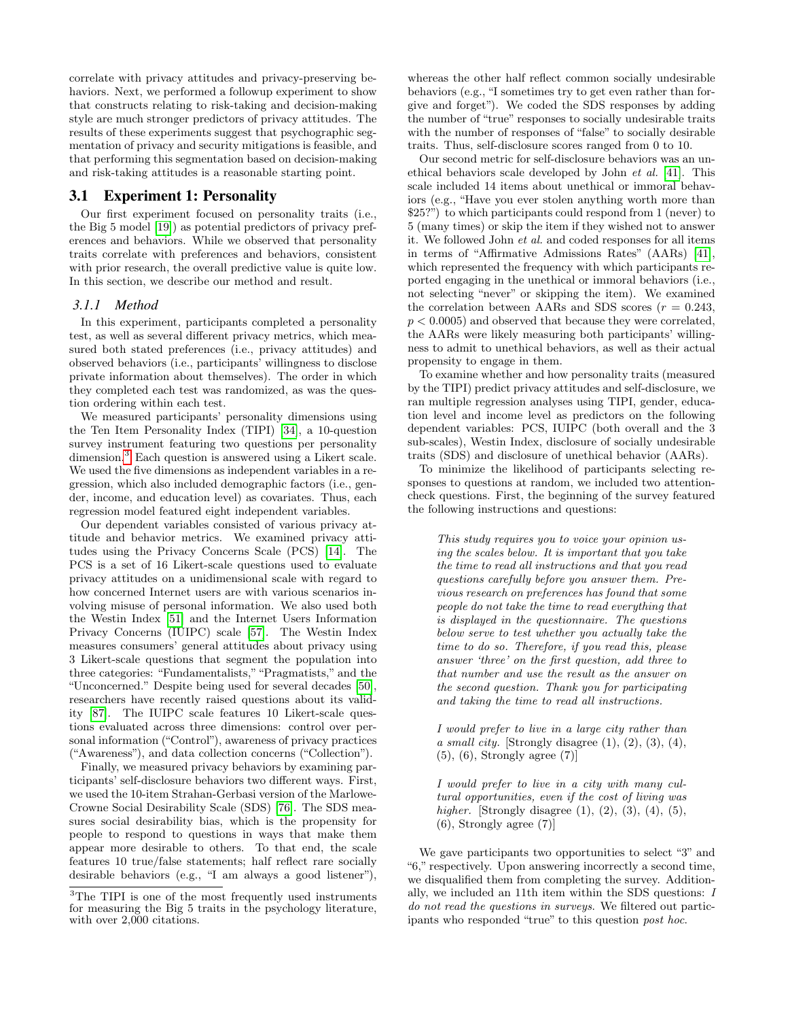correlate with privacy attitudes and privacy-preserving behaviors. Next, we performed a followup experiment to show that constructs relating to risk-taking and decision-making style are much stronger predictors of privacy attitudes. The results of these experiments suggest that psychographic segmentation of privacy and security mitigations is feasible, and that performing this segmentation based on decision-making and risk-taking attitudes is a reasonable starting point.

## 3.1 Experiment 1: Personality

Our first experiment focused on personality traits (i.e., the Big 5 model [\[19\]](#page-10-5)) as potential predictors of privacy preferences and behaviors. While we observed that personality traits correlate with preferences and behaviors, consistent with prior research, the overall predictive value is quite low. In this section, we describe our method and result.

#### *3.1.1 Method*

In this experiment, participants completed a personality test, as well as several different privacy metrics, which measured both stated preferences (i.e., privacy attitudes) and observed behaviors (i.e., participants' willingness to disclose private information about themselves). The order in which they completed each test was randomized, as was the question ordering within each test.

We measured participants' personality dimensions using the Ten Item Personality Index (TIPI) [\[34\]](#page-10-20), a 10-question survey instrument featuring two questions per personality dimension.<sup>[3](#page-4-0)</sup> Each question is answered using a Likert scale. We used the five dimensions as independent variables in a regression, which also included demographic factors (i.e., gender, income, and education level) as covariates. Thus, each regression model featured eight independent variables.

Our dependent variables consisted of various privacy attitude and behavior metrics. We examined privacy attitudes using the Privacy Concerns Scale (PCS) [\[14\]](#page-10-21). The PCS is a set of 16 Likert-scale questions used to evaluate privacy attitudes on a unidimensional scale with regard to how concerned Internet users are with various scenarios involving misuse of personal information. We also used both the Westin Index [\[51\]](#page-11-23) and the Internet Users Information Privacy Concerns (IUIPC) scale [\[57\]](#page-11-24). The Westin Index measures consumers' general attitudes about privacy using 3 Likert-scale questions that segment the population into three categories: "Fundamentalists,""Pragmatists," and the "Unconcerned." Despite being used for several decades [\[50\]](#page-11-2), researchers have recently raised questions about its validity [\[87\]](#page-12-22). The IUIPC scale features 10 Likert-scale questions evaluated across three dimensions: control over personal information ("Control"), awareness of privacy practices ("Awareness"), and data collection concerns ("Collection").

Finally, we measured privacy behaviors by examining participants' self-disclosure behaviors two different ways. First, we used the 10-item Strahan-Gerbasi version of the Marlowe-Crowne Social Desirability Scale (SDS) [\[76\]](#page-12-23). The SDS measures social desirability bias, which is the propensity for people to respond to questions in ways that make them appear more desirable to others. To that end, the scale features 10 true/false statements; half reflect rare socially desirable behaviors (e.g., "I am always a good listener"),

whereas the other half reflect common socially undesirable behaviors (e.g., "I sometimes try to get even rather than forgive and forget"). We coded the SDS responses by adding the number of "true" responses to socially undesirable traits with the number of responses of "false" to socially desirable traits. Thus, self-disclosure scores ranged from 0 to 10.

Our second metric for self-disclosure behaviors was an unethical behaviors scale developed by John et al. [\[41\]](#page-11-25). This scale included 14 items about unethical or immoral behaviors (e.g., "Have you ever stolen anything worth more than \$25?") to which participants could respond from 1 (never) to 5 (many times) or skip the item if they wished not to answer it. We followed John et al. and coded responses for all items in terms of "Affirmative Admissions Rates" (AARs) [\[41\]](#page-11-25), which represented the frequency with which participants reported engaging in the unethical or immoral behaviors (i.e., not selecting "never" or skipping the item). We examined the correlation between AARs and SDS scores ( $r = 0.243$ ,  $p < 0.0005$ ) and observed that because they were correlated, the AARs were likely measuring both participants' willingness to admit to unethical behaviors, as well as their actual propensity to engage in them.

To examine whether and how personality traits (measured by the TIPI) predict privacy attitudes and self-disclosure, we ran multiple regression analyses using TIPI, gender, education level and income level as predictors on the following dependent variables: PCS, IUIPC (both overall and the 3 sub-scales), Westin Index, disclosure of socially undesirable traits (SDS) and disclosure of unethical behavior (AARs).

To minimize the likelihood of participants selecting responses to questions at random, we included two attentioncheck questions. First, the beginning of the survey featured the following instructions and questions:

This study requires you to voice your opinion using the scales below. It is important that you take the time to read all instructions and that you read questions carefully before you answer them. Previous research on preferences has found that some people do not take the time to read everything that is displayed in the questionnaire. The questions below serve to test whether you actually take the time to do so. Therefore, if you read this, please answer 'three' on the first question, add three to that number and use the result as the answer on the second question. Thank you for participating and taking the time to read all instructions.

I would prefer to live in a large city rather than a small city. [Strongly disagree  $(1)$ ,  $(2)$ ,  $(3)$ ,  $(4)$ ,  $(5)$ ,  $(6)$ , Strongly agree  $(7)$ ]

I would prefer to live in a city with many cultural opportunities, even if the cost of living was *higher.* [Strongly disagree  $(1)$ ,  $(2)$ ,  $(3)$ ,  $(4)$ ,  $(5)$ , (6), Strongly agree (7)]

We gave participants two opportunities to select "3" and "6," respectively. Upon answering incorrectly a second time, we disqualified them from completing the survey. Additionally, we included an 11th item within the SDS questions: I do not read the questions in surveys. We filtered out participants who responded "true" to this question post hoc.

<span id="page-4-0"></span><sup>3</sup>The TIPI is one of the most frequently used instruments for measuring the Big 5 traits in the psychology literature, with over  $2,000$  citations.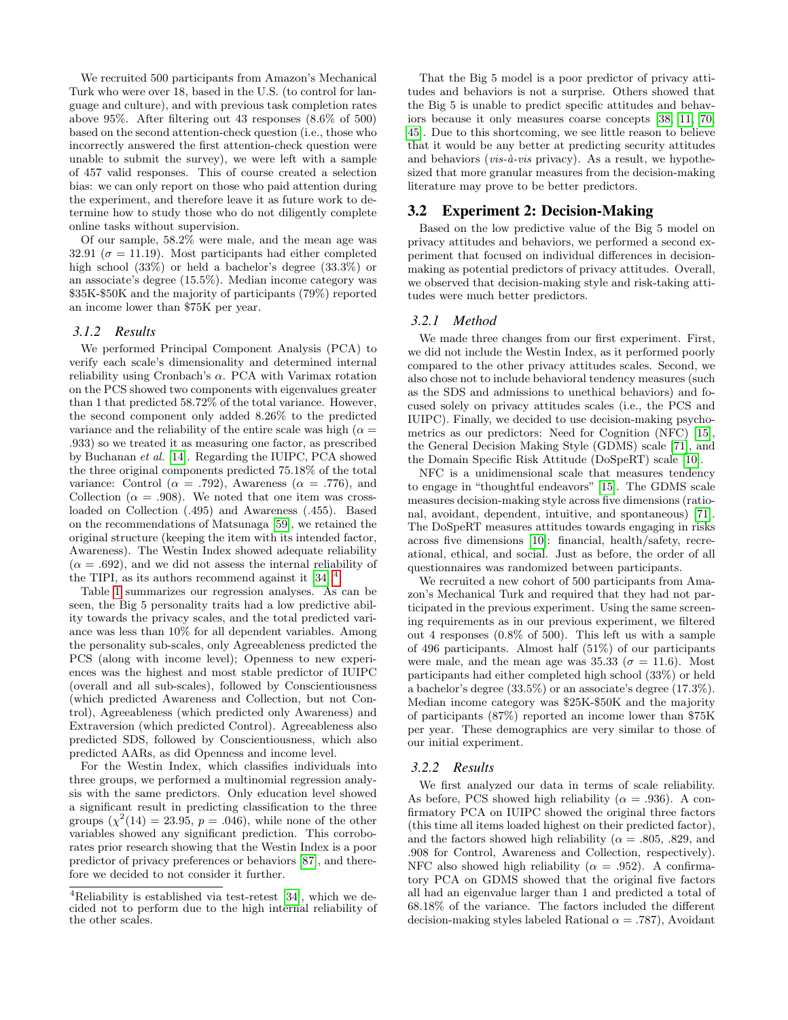We recruited 500 participants from Amazon's Mechanical Turk who were over 18, based in the U.S. (to control for language and culture), and with previous task completion rates above 95%. After filtering out 43 responses (8.6% of 500) based on the second attention-check question (i.e., those who incorrectly answered the first attention-check question were unable to submit the survey), we were left with a sample of 457 valid responses. This of course created a selection bias: we can only report on those who paid attention during the experiment, and therefore leave it as future work to determine how to study those who do not diligently complete online tasks without supervision.

Of our sample, 58.2% were male, and the mean age was 32.91 ( $\sigma = 11.19$ ). Most participants had either completed high school  $(33\%)$  or held a bachelor's degree  $(33.3\%)$  or an associate's degree (15.5%). Median income category was \$35K-\$50K and the majority of participants (79%) reported an income lower than \$75K per year.

#### *3.1.2 Results*

We performed Principal Component Analysis (PCA) to verify each scale's dimensionality and determined internal reliability using Cronbach's  $\alpha$ . PCA with Varimax rotation on the PCS showed two components with eigenvalues greater than 1 that predicted 58.72% of the total variance. However, the second component only added 8.26% to the predicted variance and the reliability of the entire scale was high ( $\alpha =$ .933) so we treated it as measuring one factor, as prescribed by Buchanan et al. [\[14\]](#page-10-21). Regarding the IUIPC, PCA showed the three original components predicted 75.18% of the total variance: Control ( $\alpha = .792$ ), Awareness ( $\alpha = .776$ ), and Collection ( $\alpha = .908$ ). We noted that one item was crossloaded on Collection (.495) and Awareness (.455). Based on the recommendations of Matsunaga [\[59\]](#page-11-26), we retained the original structure (keeping the item with its intended factor, Awareness). The Westin Index showed adequate reliability  $(\alpha = .692)$ , and we did not assess the internal reliability of the TIPI, as its authors recommend against it  $[34]$ <sup>[4](#page-5-0)</sup>

Table [1](#page-6-0) summarizes our regression analyses. As can be seen, the Big 5 personality traits had a low predictive ability towards the privacy scales, and the total predicted variance was less than 10% for all dependent variables. Among the personality sub-scales, only Agreeableness predicted the PCS (along with income level); Openness to new experiences was the highest and most stable predictor of IUIPC (overall and all sub-scales), followed by Conscientiousness (which predicted Awareness and Collection, but not Control), Agreeableness (which predicted only Awareness) and Extraversion (which predicted Control). Agreeableness also predicted SDS, followed by Conscientiousness, which also predicted AARs, as did Openness and income level.

For the Westin Index, which classifies individuals into three groups, we performed a multinomial regression analysis with the same predictors. Only education level showed a significant result in predicting classification to the three groups  $(\chi^2(14) = 23.95, p = .046)$ , while none of the other variables showed any significant prediction. This corroborates prior research showing that the Westin Index is a poor predictor of privacy preferences or behaviors [\[87\]](#page-12-22), and therefore we decided to not consider it further.

That the Big 5 model is a poor predictor of privacy attitudes and behaviors is not a surprise. Others showed that the Big 5 is unable to predict specific attitudes and behaviors because it only measures coarse concepts [\[38,](#page-11-27) [11,](#page-10-22) [70,](#page-12-24) [45\]](#page-11-28). Due to this shortcoming, we see little reason to believe that it would be any better at predicting security attitudes and behaviors (*vis-à-vis* privacy). As a result, we hypothesized that more granular measures from the decision-making literature may prove to be better predictors.

## 3.2 Experiment 2: Decision-Making

Based on the low predictive value of the Big 5 model on privacy attitudes and behaviors, we performed a second experiment that focused on individual differences in decisionmaking as potential predictors of privacy attitudes. Overall, we observed that decision-making style and risk-taking attitudes were much better predictors.

#### *3.2.1 Method*

We made three changes from our first experiment. First, we did not include the Westin Index, as it performed poorly compared to the other privacy attitudes scales. Second, we also chose not to include behavioral tendency measures (such as the SDS and admissions to unethical behaviors) and focused solely on privacy attitudes scales (i.e., the PCS and IUIPC). Finally, we decided to use decision-making psychometrics as our predictors: Need for Cognition (NFC) [\[15\]](#page-10-7), the General Decision Making Style (GDMS) scale [\[71\]](#page-12-13), and the Domain Specific Risk Attitude (DoSpeRT) scale [\[10\]](#page-10-11).

NFC is a unidimensional scale that measures tendency to engage in "thoughtful endeavors" [\[15\]](#page-10-7). The GDMS scale measures decision-making style across five dimensions (rational, avoidant, dependent, intuitive, and spontaneous) [\[71\]](#page-12-13). The DoSpeRT measures attitudes towards engaging in risks across five dimensions [\[10\]](#page-10-11): financial, health/safety, recreational, ethical, and social. Just as before, the order of all questionnaires was randomized between participants.

We recruited a new cohort of 500 participants from Amazon's Mechanical Turk and required that they had not participated in the previous experiment. Using the same screening requirements as in our previous experiment, we filtered out 4 responses (0.8% of 500). This left us with a sample of 496 participants. Almost half (51%) of our participants were male, and the mean age was 35.33 ( $\sigma = 11.6$ ). Most participants had either completed high school (33%) or held a bachelor's degree (33.5%) or an associate's degree (17.3%). Median income category was \$25K-\$50K and the majority of participants (87%) reported an income lower than \$75K per year. These demographics are very similar to those of our initial experiment.

#### *3.2.2 Results*

We first analyzed our data in terms of scale reliability. As before, PCS showed high reliability ( $\alpha = .936$ ). A confirmatory PCA on IUIPC showed the original three factors (this time all items loaded highest on their predicted factor), and the factors showed high reliability ( $\alpha = .805, .829, \text{ and}$ ) .908 for Control, Awareness and Collection, respectively). NFC also showed high reliability ( $\alpha = .952$ ). A confirmatory PCA on GDMS showed that the original five factors all had an eigenvalue larger than 1 and predicted a total of 68.18% of the variance. The factors included the different decision-making styles labeled Rational  $\alpha = .787$ , Avoidant

<span id="page-5-0"></span><sup>4</sup>Reliability is established via test-retest [\[34\]](#page-10-20), which we decided not to perform due to the high internal reliability of the other scales.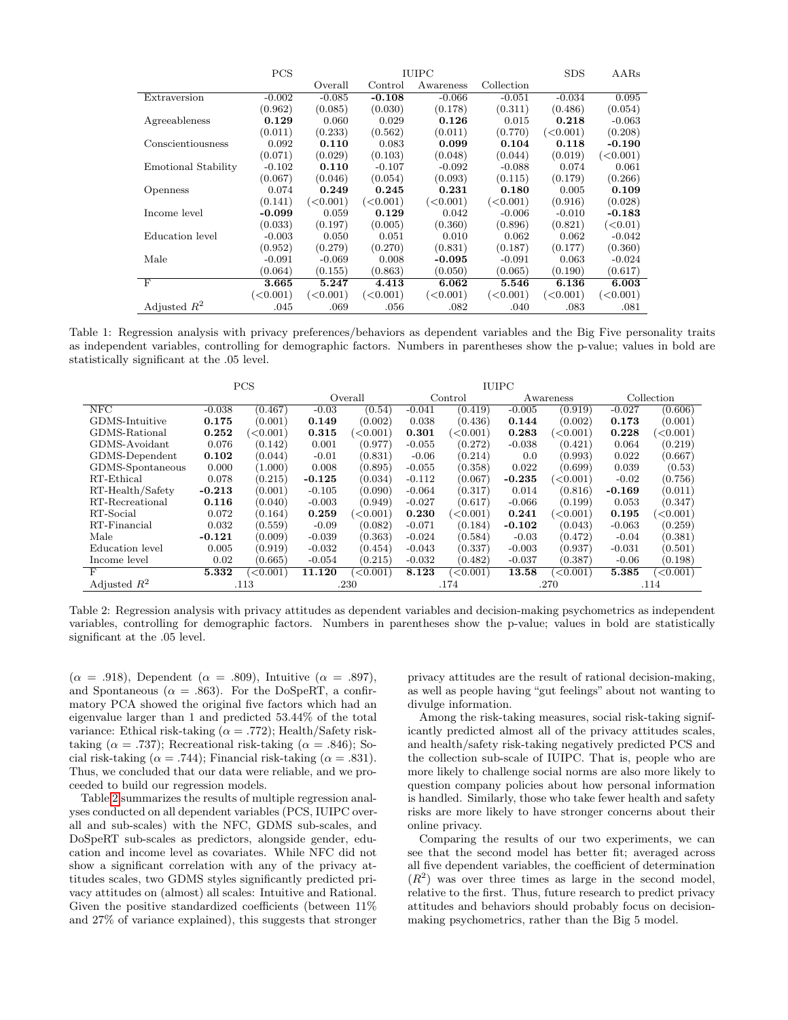<span id="page-6-0"></span>

|                            | PCS      |          | <b>IUIPC</b> |              | <b>SDS</b> | AARs     |          |
|----------------------------|----------|----------|--------------|--------------|------------|----------|----------|
|                            |          | Overall  | Control      | Awareness    | Collection |          |          |
| Extraversion               | $-0.002$ | $-0.085$ | $-0.108$     | $-0.066$     | $-0.051$   | $-0.034$ | 0.095    |
|                            | (0.962)  | (0.085)  | (0.030)      | (0.178)      | (0.311)    | (0.486)  | (0.054)  |
| Agreeableness              | 0.129    | 0.060    | 0.029        | 0.126        | 0.015      | 0.218    | $-0.063$ |
|                            | (0.011)  | (0.233)  | (0.562)      | (0.011)      | (0.770)    | (<0.001) | (0.208)  |
| Conscientiousness          | 0.092    | 0.110    | 0.083        | 0.099        | 0.104      | 0.118    | $-0.190$ |
|                            | (0.071)  | (0.029)  | (0.103)      | (0.048)      | (0.044)    | (0.019)  | (<0.001) |
| <b>Emotional Stability</b> | $-0.102$ | 0.110    | $-0.107$     | $-0.092$     | $-0.088$   | 0.074    | 0.061    |
|                            | (0.067)  | (0.046)  | (0.054)      | (0.093)      | (0.115)    | (0.179)  | (0.266)  |
| Openness                   | 0.074    | 0.249    | 0.245        | 0.231        | 0.180      | 0.005    | 0.109    |
|                            | (0.141)  | (<0.001) | (<0.001)     | (<0.001)     | (<0.001)   | (0.916)  | (0.028)  |
| Income level               | $-0.099$ | 0.059    | 0.129        | 0.042        | $-0.006$   | $-0.010$ | $-0.183$ |
|                            | (0.033)  | (0.197)  | (0.005)      | (0.360)      | (0.896)    | (0.821)  | (<0.01)  |
| Education level            | $-0.003$ | 0.050    | 0.051        | 0.010        | 0.062      | 0.062    | $-0.042$ |
|                            | (0.952)  | (0.279)  | (0.270)      | (0.831)      | (0.187)    | (0.177)  | (0.360)  |
| Male                       | $-0.091$ | $-0.069$ | 0.008        | $-0.095$     | $-0.091$   | 0.063    | $-0.024$ |
|                            | (0.064)  | (0.155)  | (0.863)      | (0.050)      | (0.065)    | (0.190)  | (0.617)  |
| F                          | 3.665    | 5.247    | 4.413        | 6.062        | 5.546      | 6.136    | 6.003    |
|                            | (<0.001) | (<0.001) | (<0.001)     | $\leq 0.001$ | (<0.001)   | (<0.001) | (<0.001) |
| Adjusted $R^2$             | .045     | .069     | .056         | .082         | .040       | .083     | .081     |

Table 1: Regression analysis with privacy preferences/behaviors as dependent variables and the Big Five personality traits as independent variables, controlling for demographic factors. Numbers in parentheses show the p-value; values in bold are statistically significant at the .05 level.

<span id="page-6-1"></span>

| <b>PCS</b>       |          |              |          | <b>IUIPC</b>           |          |              |           |              |            |                      |
|------------------|----------|--------------|----------|------------------------|----------|--------------|-----------|--------------|------------|----------------------|
|                  |          |              | Overall  |                        | Control  |              | Awareness |              | Collection |                      |
| <b>NFC</b>       | $-0.038$ | (0.467)      | $-0.03$  | (0.54)                 | $-0.041$ | (0.419)      | $-0.005$  | (0.919)      | $-0.027$   | (0.606)              |
| GDMS-Intuitive   | 0.175    | (0.001)      | 0.149    | (0.002)                | 0.038    | (0.436)      | 0.144     | (0.002)      | 0.173      | (0.001)              |
| GDMS-Rational    | 0.252    | $\leq 0.001$ | 0.315    | $\left( <0.001\right)$ | 0.301    | $\sim 0.001$ | 0.283     | (<0.001)     | 0.228      | $\zeta$ ( $<$ 0.001) |
| GDMS-Avoidant    | 0.076    | (0.142)      | 0.001    | (0.977)                | $-0.055$ | (0.272)      | $-0.038$  | (0.421)      | 0.064      | (0.219)              |
| GDMS-Dependent   | 0.102    | (0.044)      | $-0.01$  | (0.831)                | $-0.06$  | (0.214)      | 0.0       | (0.993)      | 0.022      | (0.667)              |
| GDMS-Spontaneous | 0.000    | (1.000)      | 0.008    | (0.895)                | $-0.055$ | (0.358)      | 0.022     | (0.699)      | 0.039      | (0.53)               |
| RT-Ethical       | 0.078    | (0.215)      | $-0.125$ | (0.034)                | $-0.112$ | (0.067)      | $-0.235$  | $\leq 0.001$ | $-0.02$    | (0.756)              |
| RT-Health/Safety | $-0.213$ | (0.001)      | $-0.105$ | (0.090)                | $-0.064$ | (0.317)      | 0.014     | (0.816)      | $-0.169$   | (0.011)              |
| RT-Recreational  | 0.116    | (0.040)      | $-0.003$ | (0.949)                | $-0.027$ | (0.617)      | $-0.066$  | (0.199)      | 0.053      | (0.347)              |
| RT-Social        | 0.072    | (0.164)      | 0.259    | $\leq 0.001$           | 0.230    | $\leq 0.001$ | 0.241     | $\leq 0.001$ | 0.195      | $\leq 0.001$         |
| RT-Financial     | 0.032    | (0.559)      | $-0.09$  | (0.082)                | $-0.071$ | (0.184)      | $-0.102$  | (0.043)      | $-0.063$   | (0.259)              |
| Male             | $-0.121$ | (0.009)      | $-0.039$ | (0.363)                | $-0.024$ | (0.584)      | $-0.03$   | (0.472)      | $-0.04$    | (0.381)              |
| Education level  | 0.005    | (0.919)      | $-0.032$ | (0.454)                | $-0.043$ | (0.337)      | $-0.003$  | (0.937)      | $-0.031$   | (0.501)              |
| Income level     | 0.02     | (0.665)      | $-0.054$ | (0.215)                | $-0.032$ | (0.482)      | $-0.037$  | (0.387)      | $-0.06$    | (0.198)              |
| F                | 5.332    | $\leq 0.001$ | 11.120   | $\leq 0.001$           | 8.123    | $\leq 0.001$ | 13.58     | $\leq 0.001$ | 5.385      | $\leq 0.001$         |
| Adjusted $R^2$   | .113     |              | .230     |                        | .174     |              | .270      |              | .114       |                      |

Table 2: Regression analysis with privacy attitudes as dependent variables and decision-making psychometrics as independent variables, controlling for demographic factors. Numbers in parentheses show the p-value; values in bold are statistically significant at the .05 level.

 $(\alpha = .918)$ , Dependent  $(\alpha = .809)$ , Intuitive  $(\alpha = .897)$ , and Spontaneous ( $\alpha = .863$ ). For the DoSpeRT, a confirmatory PCA showed the original five factors which had an eigenvalue larger than 1 and predicted 53.44% of the total variance: Ethical risk-taking ( $\alpha = .772$ ); Health/Safety risktaking ( $\alpha = .737$ ); Recreational risk-taking ( $\alpha = .846$ ); Social risk-taking ( $\alpha = .744$ ); Financial risk-taking ( $\alpha = .831$ ). Thus, we concluded that our data were reliable, and we proceeded to build our regression models.

Table [2](#page-6-1) summarizes the results of multiple regression analyses conducted on all dependent variables (PCS, IUIPC overall and sub-scales) with the NFC, GDMS sub-scales, and DoSpeRT sub-scales as predictors, alongside gender, education and income level as covariates. While NFC did not show a significant correlation with any of the privacy attitudes scales, two GDMS styles significantly predicted privacy attitudes on (almost) all scales: Intuitive and Rational. Given the positive standardized coefficients (between 11% and 27% of variance explained), this suggests that stronger privacy attitudes are the result of rational decision-making, as well as people having "gut feelings" about not wanting to divulge information.

Among the risk-taking measures, social risk-taking significantly predicted almost all of the privacy attitudes scales, and health/safety risk-taking negatively predicted PCS and the collection sub-scale of IUIPC. That is, people who are more likely to challenge social norms are also more likely to question company policies about how personal information is handled. Similarly, those who take fewer health and safety risks are more likely to have stronger concerns about their online privacy.

Comparing the results of our two experiments, we can see that the second model has better fit; averaged across all five dependent variables, the coefficient of determination  $(R<sup>2</sup>)$  was over three times as large in the second model, relative to the first. Thus, future research to predict privacy attitudes and behaviors should probably focus on decisionmaking psychometrics, rather than the Big 5 model.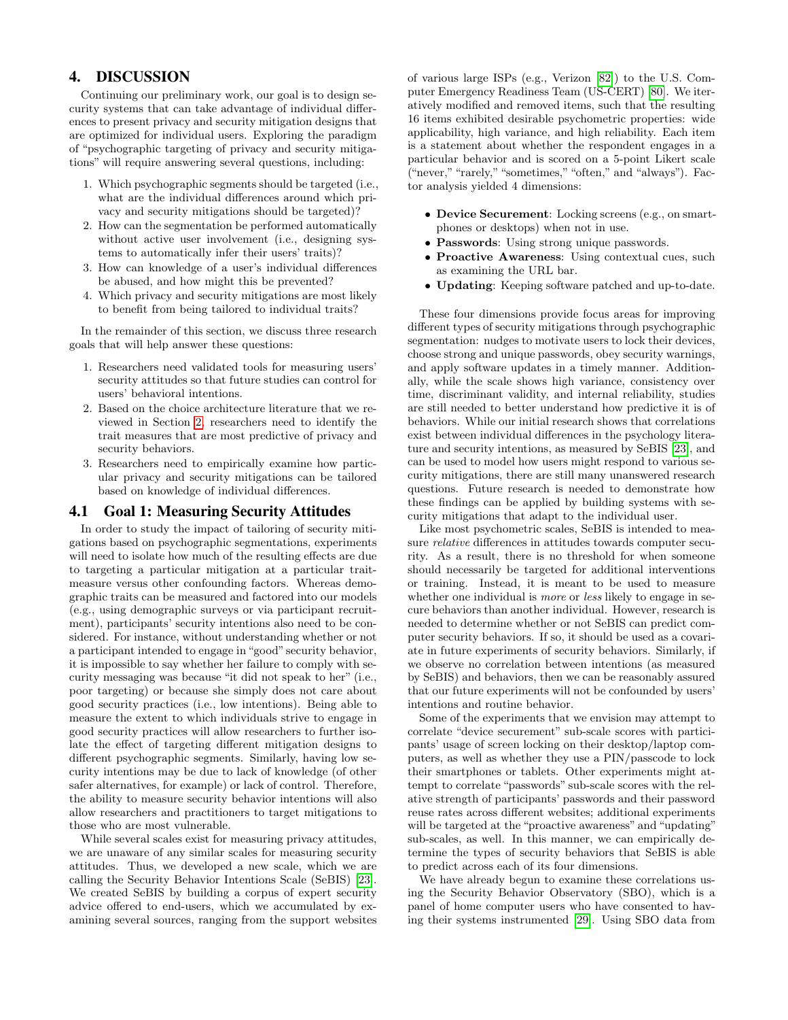# 4. DISCUSSION

Continuing our preliminary work, our goal is to design security systems that can take advantage of individual differences to present privacy and security mitigation designs that are optimized for individual users. Exploring the paradigm of "psychographic targeting of privacy and security mitigations" will require answering several questions, including:

- 1. Which psychographic segments should be targeted (i.e., what are the individual differences around which privacy and security mitigations should be targeted)?
- 2. How can the segmentation be performed automatically without active user involvement (i.e., designing systems to automatically infer their users' traits)?
- 3. How can knowledge of a user's individual differences be abused, and how might this be prevented?
- 4. Which privacy and security mitigations are most likely to benefit from being tailored to individual traits?

In the remainder of this section, we discuss three research goals that will help answer these questions:

- 1. Researchers need validated tools for measuring users' security attitudes so that future studies can control for users' behavioral intentions.
- 2. Based on the choice architecture literature that we reviewed in Section [2,](#page-1-0) researchers need to identify the trait measures that are most predictive of privacy and security behaviors.
- 3. Researchers need to empirically examine how particular privacy and security mitigations can be tailored based on knowledge of individual differences.

# 4.1 Goal 1: Measuring Security Attitudes

In order to study the impact of tailoring of security mitigations based on psychographic segmentations, experiments will need to isolate how much of the resulting effects are due to targeting a particular mitigation at a particular traitmeasure versus other confounding factors. Whereas demographic traits can be measured and factored into our models (e.g., using demographic surveys or via participant recruitment), participants' security intentions also need to be considered. For instance, without understanding whether or not a participant intended to engage in "good" security behavior, it is impossible to say whether her failure to comply with security messaging was because "it did not speak to her" (i.e., poor targeting) or because she simply does not care about good security practices (i.e., low intentions). Being able to measure the extent to which individuals strive to engage in good security practices will allow researchers to further isolate the effect of targeting different mitigation designs to different psychographic segments. Similarly, having low security intentions may be due to lack of knowledge (of other safer alternatives, for example) or lack of control. Therefore, the ability to measure security behavior intentions will also allow researchers and practitioners to target mitigations to those who are most vulnerable.

While several scales exist for measuring privacy attitudes, we are unaware of any similar scales for measuring security attitudes. Thus, we developed a new scale, which we are calling the Security Behavior Intentions Scale (SeBIS) [\[23\]](#page-10-23). We created SeBIS by building a corpus of expert security advice offered to end-users, which we accumulated by examining several sources, ranging from the support websites of various large ISPs (e.g., Verizon [\[82\]](#page-12-25)) to the U.S. Computer Emergency Readiness Team (US-CERT) [\[80\]](#page-12-26). We iteratively modified and removed items, such that the resulting 16 items exhibited desirable psychometric properties: wide applicability, high variance, and high reliability. Each item is a statement about whether the respondent engages in a particular behavior and is scored on a 5-point Likert scale ("never," "rarely," "sometimes," "often," and "always"). Factor analysis yielded 4 dimensions:

- Device Securement: Locking screens (e.g., on smartphones or desktops) when not in use.
- Passwords: Using strong unique passwords.
- Proactive Awareness: Using contextual cues, such as examining the URL bar.
- Updating: Keeping software patched and up-to-date.

These four dimensions provide focus areas for improving different types of security mitigations through psychographic segmentation: nudges to motivate users to lock their devices, choose strong and unique passwords, obey security warnings, and apply software updates in a timely manner. Additionally, while the scale shows high variance, consistency over time, discriminant validity, and internal reliability, studies are still needed to better understand how predictive it is of behaviors. While our initial research shows that correlations exist between individual differences in the psychology literature and security intentions, as measured by SeBIS [\[23\]](#page-10-23), and can be used to model how users might respond to various security mitigations, there are still many unanswered research questions. Future research is needed to demonstrate how these findings can be applied by building systems with security mitigations that adapt to the individual user.

Like most psychometric scales, SeBIS is intended to measure relative differences in attitudes towards computer security. As a result, there is no threshold for when someone should necessarily be targeted for additional interventions or training. Instead, it is meant to be used to measure whether one individual is *more* or *less* likely to engage in secure behaviors than another individual. However, research is needed to determine whether or not SeBIS can predict computer security behaviors. If so, it should be used as a covariate in future experiments of security behaviors. Similarly, if we observe no correlation between intentions (as measured by SeBIS) and behaviors, then we can be reasonably assured that our future experiments will not be confounded by users' intentions and routine behavior.

Some of the experiments that we envision may attempt to correlate "device securement" sub-scale scores with participants' usage of screen locking on their desktop/laptop computers, as well as whether they use a PIN/passcode to lock their smartphones or tablets. Other experiments might attempt to correlate "passwords" sub-scale scores with the relative strength of participants' passwords and their password reuse rates across different websites; additional experiments will be targeted at the "proactive awareness" and "updating" sub-scales, as well. In this manner, we can empirically determine the types of security behaviors that SeBIS is able to predict across each of its four dimensions.

We have already begun to examine these correlations using the Security Behavior Observatory (SBO), which is a panel of home computer users who have consented to having their systems instrumented [\[29\]](#page-10-24). Using SBO data from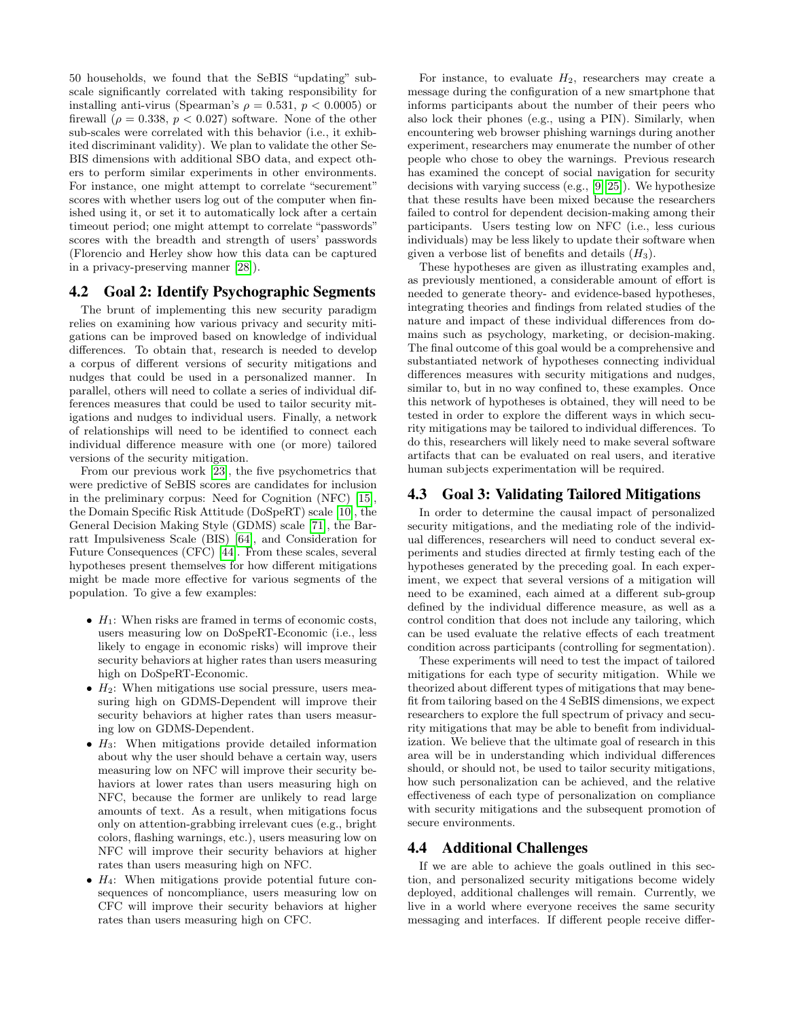50 households, we found that the SeBIS "updating" subscale significantly correlated with taking responsibility for installing anti-virus (Spearman's  $\rho = 0.531, p < 0.0005$ ) or firewall ( $\rho = 0.338$ ,  $p < 0.027$ ) software. None of the other sub-scales were correlated with this behavior (i.e., it exhibited discriminant validity). We plan to validate the other Se-BIS dimensions with additional SBO data, and expect others to perform similar experiments in other environments. For instance, one might attempt to correlate "securement" scores with whether users log out of the computer when finished using it, or set it to automatically lock after a certain timeout period; one might attempt to correlate "passwords" scores with the breadth and strength of users' passwords (Florencio and Herley show how this data can be captured in a privacy-preserving manner [\[28\]](#page-10-25)).

# 4.2 Goal 2: Identify Psychographic Segments

The brunt of implementing this new security paradigm relies on examining how various privacy and security mitigations can be improved based on knowledge of individual differences. To obtain that, research is needed to develop a corpus of different versions of security mitigations and nudges that could be used in a personalized manner. In parallel, others will need to collate a series of individual differences measures that could be used to tailor security mitigations and nudges to individual users. Finally, a network of relationships will need to be identified to connect each individual difference measure with one (or more) tailored versions of the security mitigation.

From our previous work [\[23\]](#page-10-23), the five psychometrics that were predictive of SeBIS scores are candidates for inclusion in the preliminary corpus: Need for Cognition (NFC) [\[15\]](#page-10-7), the Domain Specific Risk Attitude (DoSpeRT) scale [\[10\]](#page-10-11), the General Decision Making Style (GDMS) scale [\[71\]](#page-12-13), the Barratt Impulsiveness Scale (BIS) [\[64\]](#page-11-29), and Consideration for Future Consequences (CFC) [\[44\]](#page-11-30). From these scales, several hypotheses present themselves for how different mitigations might be made more effective for various segments of the population. To give a few examples:

- $H_1$ : When risks are framed in terms of economic costs, users measuring low on DoSpeRT-Economic (i.e., less likely to engage in economic risks) will improve their security behaviors at higher rates than users measuring high on DoSpeRT-Economic.
- $H_2$ : When mitigations use social pressure, users measuring high on GDMS-Dependent will improve their security behaviors at higher rates than users measuring low on GDMS-Dependent.
- $\bullet$   $H_3$ : When mitigations provide detailed information about why the user should behave a certain way, users measuring low on NFC will improve their security behaviors at lower rates than users measuring high on NFC, because the former are unlikely to read large amounts of text. As a result, when mitigations focus only on attention-grabbing irrelevant cues (e.g., bright colors, flashing warnings, etc.), users measuring low on NFC will improve their security behaviors at higher rates than users measuring high on NFC.
- $H_4$ : When mitigations provide potential future consequences of noncompliance, users measuring low on CFC will improve their security behaviors at higher rates than users measuring high on CFC.

For instance, to evaluate  $H_2$ , researchers may create a message during the configuration of a new smartphone that informs participants about the number of their peers who also lock their phones (e.g., using a PIN). Similarly, when encountering web browser phishing warnings during another experiment, researchers may enumerate the number of other people who chose to obey the warnings. Previous research has examined the concept of social navigation for security decisions with varying success (e.g., [\[9,](#page-10-26) [25\]](#page-10-27)). We hypothesize that these results have been mixed because the researchers failed to control for dependent decision-making among their participants. Users testing low on NFC (i.e., less curious individuals) may be less likely to update their software when given a verbose list of benefits and details  $(H_3)$ .

These hypotheses are given as illustrating examples and, as previously mentioned, a considerable amount of effort is needed to generate theory- and evidence-based hypotheses, integrating theories and findings from related studies of the nature and impact of these individual differences from domains such as psychology, marketing, or decision-making. The final outcome of this goal would be a comprehensive and substantiated network of hypotheses connecting individual differences measures with security mitigations and nudges, similar to, but in no way confined to, these examples. Once this network of hypotheses is obtained, they will need to be tested in order to explore the different ways in which security mitigations may be tailored to individual differences. To do this, researchers will likely need to make several software artifacts that can be evaluated on real users, and iterative human subjects experimentation will be required.

# 4.3 Goal 3: Validating Tailored Mitigations

In order to determine the causal impact of personalized security mitigations, and the mediating role of the individual differences, researchers will need to conduct several experiments and studies directed at firmly testing each of the hypotheses generated by the preceding goal. In each experiment, we expect that several versions of a mitigation will need to be examined, each aimed at a different sub-group defined by the individual difference measure, as well as a control condition that does not include any tailoring, which can be used evaluate the relative effects of each treatment condition across participants (controlling for segmentation).

These experiments will need to test the impact of tailored mitigations for each type of security mitigation. While we theorized about different types of mitigations that may benefit from tailoring based on the 4 SeBIS dimensions, we expect researchers to explore the full spectrum of privacy and security mitigations that may be able to benefit from individualization. We believe that the ultimate goal of research in this area will be in understanding which individual differences should, or should not, be used to tailor security mitigations, how such personalization can be achieved, and the relative effectiveness of each type of personalization on compliance with security mitigations and the subsequent promotion of secure environments.

# 4.4 Additional Challenges

If we are able to achieve the goals outlined in this section, and personalized security mitigations become widely deployed, additional challenges will remain. Currently, we live in a world where everyone receives the same security messaging and interfaces. If different people receive differ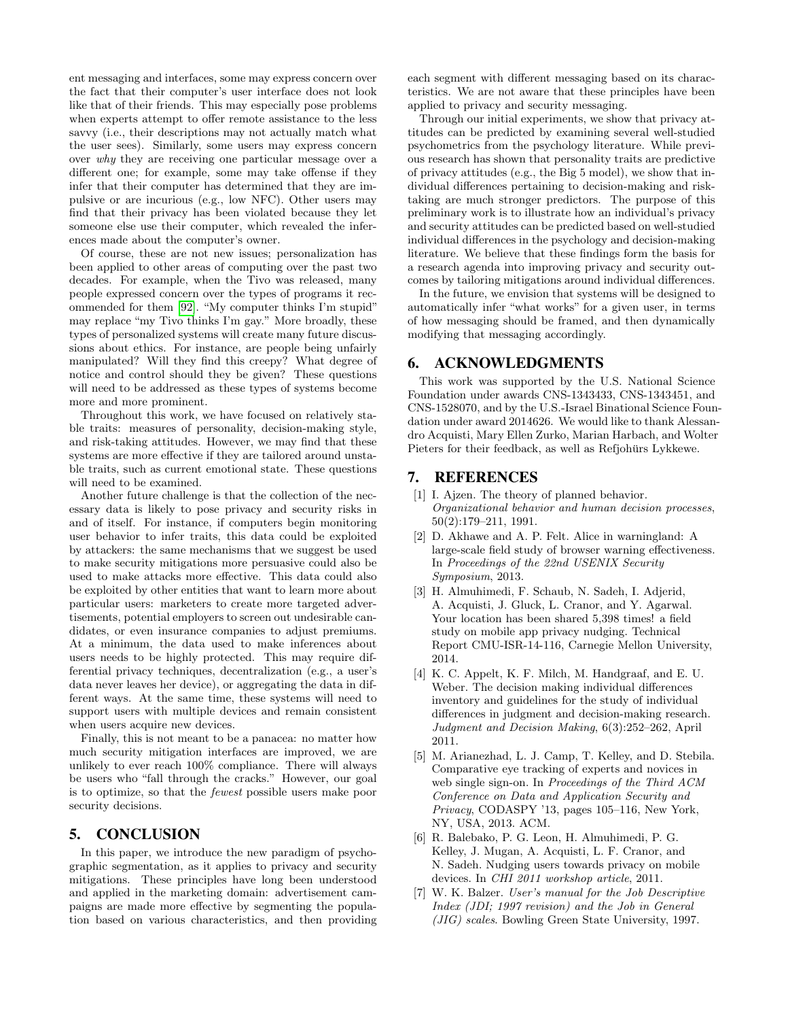ent messaging and interfaces, some may express concern over the fact that their computer's user interface does not look like that of their friends. This may especially pose problems when experts attempt to offer remote assistance to the less savvy (i.e., their descriptions may not actually match what the user sees). Similarly, some users may express concern over why they are receiving one particular message over a different one; for example, some may take offense if they infer that their computer has determined that they are impulsive or are incurious (e.g., low NFC). Other users may find that their privacy has been violated because they let someone else use their computer, which revealed the inferences made about the computer's owner.

Of course, these are not new issues; personalization has been applied to other areas of computing over the past two decades. For example, when the Tivo was released, many people expressed concern over the types of programs it recommended for them [\[92\]](#page-12-27). "My computer thinks I'm stupid" may replace "my Tivo thinks I'm gay." More broadly, these types of personalized systems will create many future discussions about ethics. For instance, are people being unfairly manipulated? Will they find this creepy? What degree of notice and control should they be given? These questions will need to be addressed as these types of systems become more and more prominent.

Throughout this work, we have focused on relatively stable traits: measures of personality, decision-making style, and risk-taking attitudes. However, we may find that these systems are more effective if they are tailored around unstable traits, such as current emotional state. These questions will need to be examined.

Another future challenge is that the collection of the necessary data is likely to pose privacy and security risks in and of itself. For instance, if computers begin monitoring user behavior to infer traits, this data could be exploited by attackers: the same mechanisms that we suggest be used to make security mitigations more persuasive could also be used to make attacks more effective. This data could also be exploited by other entities that want to learn more about particular users: marketers to create more targeted advertisements, potential employers to screen out undesirable candidates, or even insurance companies to adjust premiums. At a minimum, the data used to make inferences about users needs to be highly protected. This may require differential privacy techniques, decentralization (e.g., a user's data never leaves her device), or aggregating the data in different ways. At the same time, these systems will need to support users with multiple devices and remain consistent when users acquire new devices.

Finally, this is not meant to be a panacea: no matter how much security mitigation interfaces are improved, we are unlikely to ever reach 100% compliance. There will always be users who "fall through the cracks." However, our goal is to optimize, so that the fewest possible users make poor security decisions.

# 5. CONCLUSION

In this paper, we introduce the new paradigm of psychographic segmentation, as it applies to privacy and security mitigations. These principles have long been understood and applied in the marketing domain: advertisement campaigns are made more effective by segmenting the population based on various characteristics, and then providing each segment with different messaging based on its characteristics. We are not aware that these principles have been applied to privacy and security messaging.

Through our initial experiments, we show that privacy attitudes can be predicted by examining several well-studied psychometrics from the psychology literature. While previous research has shown that personality traits are predictive of privacy attitudes (e.g., the Big 5 model), we show that individual differences pertaining to decision-making and risktaking are much stronger predictors. The purpose of this preliminary work is to illustrate how an individual's privacy and security attitudes can be predicted based on well-studied individual differences in the psychology and decision-making literature. We believe that these findings form the basis for a research agenda into improving privacy and security outcomes by tailoring mitigations around individual differences.

In the future, we envision that systems will be designed to automatically infer "what works" for a given user, in terms of how messaging should be framed, and then dynamically modifying that messaging accordingly.

# 6. ACKNOWLEDGMENTS

This work was supported by the U.S. National Science Foundation under awards CNS-1343433, CNS-1343451, and CNS-1528070, and by the U.S.-Israel Binational Science Foundation under award 2014626. We would like to thank Alessandro Acquisti, Mary Ellen Zurko, Marian Harbach, and Wolter Pieters for their feedback, as well as Refjohürs Lykkewe.

# 7. REFERENCES

- <span id="page-9-2"></span>[1] I. Ajzen. The theory of planned behavior. Organizational behavior and human decision processes, 50(2):179–211, 1991.
- <span id="page-9-0"></span>[2] D. Akhawe and A. P. Felt. Alice in warningland: A large-scale field study of browser warning effectiveness. In Proceedings of the 22nd USENIX Security Symposium, 2013.
- <span id="page-9-5"></span>[3] H. Almuhimedi, F. Schaub, N. Sadeh, I. Adjerid, A. Acquisti, J. Gluck, L. Cranor, and Y. Agarwal. Your location has been shared 5,398 times! a field study on mobile app privacy nudging. Technical Report CMU-ISR-14-116, Carnegie Mellon University, 2014.
- <span id="page-9-1"></span>[4] K. C. Appelt, K. F. Milch, M. Handgraaf, and E. U. Weber. The decision making individual differences inventory and guidelines for the study of individual differences in judgment and decision-making research. Judgment and Decision Making, 6(3):252–262, April 2011.
- <span id="page-9-6"></span>[5] M. Arianezhad, L. J. Camp, T. Kelley, and D. Stebila. Comparative eye tracking of experts and novices in web single sign-on. In Proceedings of the Third ACM Conference on Data and Application Security and Privacy, CODASPY '13, pages 105–116, New York, NY, USA, 2013. ACM.
- <span id="page-9-4"></span>[6] R. Balebako, P. G. Leon, H. Almuhimedi, P. G. Kelley, J. Mugan, A. Acquisti, L. F. Cranor, and N. Sadeh. Nudging users towards privacy on mobile devices. In CHI 2011 workshop article, 2011.
- <span id="page-9-3"></span>[7] W. K. Balzer. User's manual for the Job Descriptive Index (JDI; 1997 revision) and the Job in General (JIG) scales. Bowling Green State University, 1997.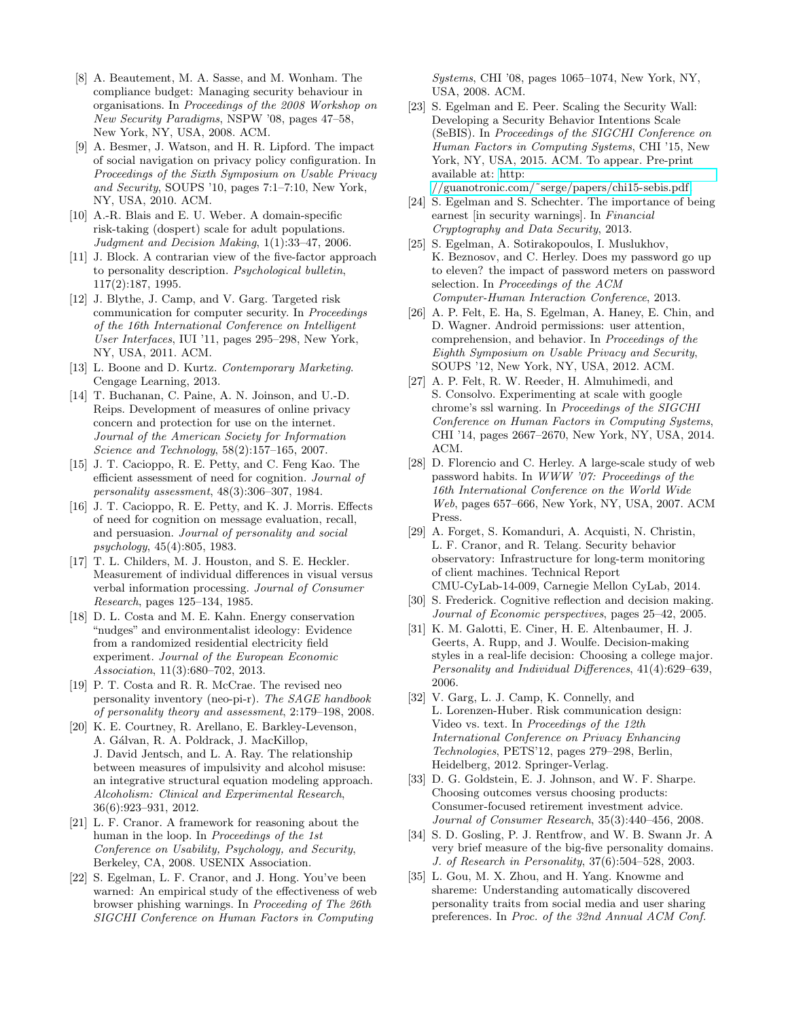- <span id="page-10-2"></span>[8] A. Beautement, M. A. Sasse, and M. Wonham. The compliance budget: Managing security behaviour in organisations. In Proceedings of the 2008 Workshop on New Security Paradigms, NSPW '08, pages 47–58, New York, NY, USA, 2008. ACM.
- <span id="page-10-26"></span>[9] A. Besmer, J. Watson, and H. R. Lipford. The impact of social navigation on privacy policy configuration. In Proceedings of the Sixth Symposium on Usable Privacy and Security, SOUPS '10, pages 7:1–7:10, New York, NY, USA, 2010. ACM.
- <span id="page-10-11"></span>[10] A.-R. Blais and E. U. Weber. A domain-specific risk-taking (dospert) scale for adult populations. Judgment and Decision Making, 1(1):33–47, 2006.
- <span id="page-10-22"></span>[11] J. Block. A contrarian view of the five-factor approach to personality description. Psychological bulletin, 117(2):187, 1995.
- <span id="page-10-3"></span>[12] J. Blythe, J. Camp, and V. Garg. Targeted risk communication for computer security. In Proceedings of the 16th International Conference on Intelligent User Interfaces, IUI '11, pages 295–298, New York, NY, USA, 2011. ACM.
- <span id="page-10-4"></span>[13] L. Boone and D. Kurtz. Contemporary Marketing. Cengage Learning, 2013.
- <span id="page-10-21"></span>[14] T. Buchanan, C. Paine, A. N. Joinson, and U.-D. Reips. Development of measures of online privacy concern and protection for use on the internet. Journal of the American Society for Information Science and Technology, 58(2):157–165, 2007.
- <span id="page-10-7"></span>[15] J. T. Cacioppo, R. E. Petty, and C. Feng Kao. The efficient assessment of need for cognition. Journal of personality assessment, 48(3):306–307, 1984.
- <span id="page-10-8"></span>[16] J. T. Cacioppo, R. E. Petty, and K. J. Morris. Effects of need for cognition on message evaluation, recall, and persuasion. Journal of personality and social psychology, 45(4):805, 1983.
- <span id="page-10-6"></span>[17] T. L. Childers, M. J. Houston, and S. E. Heckler. Measurement of individual differences in visual versus verbal information processing. Journal of Consumer Research, pages 125–134, 1985.
- <span id="page-10-14"></span>[18] D. L. Costa and M. E. Kahn. Energy conservation "nudges" and environmentalist ideology: Evidence from a randomized residential electricity field experiment. Journal of the European Economic Association, 11(3):680–702, 2013.
- <span id="page-10-5"></span>[19] P. T. Costa and R. R. McCrae. The revised neo personality inventory (neo-pi-r). The SAGE handbook of personality theory and assessment, 2:179–198, 2008.
- <span id="page-10-13"></span>[20] K. E. Courtney, R. Arellano, E. Barkley-Levenson, A. Gálvan, R. A. Poldrack, J. MacKillop, J. David Jentsch, and L. A. Ray. The relationship between measures of impulsivity and alcohol misuse: an integrative structural equation modeling approach. Alcoholism: Clinical and Experimental Research, 36(6):923–931, 2012.
- <span id="page-10-15"></span>[21] L. F. Cranor. A framework for reasoning about the human in the loop. In Proceedings of the 1st Conference on Usability, Psychology, and Security, Berkeley, CA, 2008. USENIX Association.
- <span id="page-10-0"></span>[22] S. Egelman, L. F. Cranor, and J. Hong. You've been warned: An empirical study of the effectiveness of web browser phishing warnings. In Proceeding of The 26th SIGCHI Conference on Human Factors in Computing

Systems, CHI '08, pages 1065–1074, New York, NY, USA, 2008. ACM.

<span id="page-10-23"></span>[23] S. Egelman and E. Peer. Scaling the Security Wall: Developing a Security Behavior Intentions Scale (SeBIS). In Proceedings of the SIGCHI Conference on Human Factors in Computing Systems, CHI '15, New York, NY, USA, 2015. ACM. To appear. Pre-print available at: [http:](http://guanotronic.com/~serge/papers/chi15-sebis.pdf)

[//guanotronic.com/˜serge/papers/chi15-sebis.pdf.](http://guanotronic.com/~serge/papers/chi15-sebis.pdf)

- <span id="page-10-17"></span>[24] S. Egelman and S. Schechter. The importance of being earnest [in security warnings]. In Financial Cryptography and Data Security, 2013.
- <span id="page-10-27"></span>[25] S. Egelman, A. Sotirakopoulos, I. Muslukhov, K. Beznosov, and C. Herley. Does my password go up to eleven? the impact of password meters on password selection. In Proceedings of the ACM Computer-Human Interaction Conference, 2013.
- <span id="page-10-16"></span>[26] A. P. Felt, E. Ha, S. Egelman, A. Haney, E. Chin, and D. Wagner. Android permissions: user attention, comprehension, and behavior. In Proceedings of the Eighth Symposium on Usable Privacy and Security, SOUPS '12, New York, NY, USA, 2012. ACM.
- <span id="page-10-1"></span>[27] A. P. Felt, R. W. Reeder, H. Almuhimedi, and S. Consolvo. Experimenting at scale with google chrome's ssl warning. In Proceedings of the SIGCHI Conference on Human Factors in Computing Systems, CHI '14, pages 2667–2670, New York, NY, USA, 2014. ACM.
- <span id="page-10-25"></span>[28] D. Florencio and C. Herley. A large-scale study of web password habits. In WWW '07: Proceedings of the 16th International Conference on the World Wide Web, pages 657–666, New York, NY, USA, 2007. ACM Press.
- <span id="page-10-24"></span>[29] A. Forget, S. Komanduri, A. Acquisti, N. Christin, L. F. Cranor, and R. Telang. Security behavior observatory: Infrastructure for long-term monitoring of client machines. Technical Report CMU-CyLab-14-009, Carnegie Mellon CyLab, 2014.
- <span id="page-10-9"></span>[30] S. Frederick. Cognitive reflection and decision making. Journal of Economic perspectives, pages 25–42, 2005.
- <span id="page-10-10"></span>[31] K. M. Galotti, E. Ciner, H. E. Altenbaumer, H. J. Geerts, A. Rupp, and J. Woulfe. Decision-making styles in a real-life decision: Choosing a college major. Personality and Individual Differences, 41(4):629–639, 2006.
- <span id="page-10-18"></span>[32] V. Garg, L. J. Camp, K. Connelly, and L. Lorenzen-Huber. Risk communication design: Video vs. text. In Proceedings of the 12th International Conference on Privacy Enhancing Technologies, PETS'12, pages 279–298, Berlin, Heidelberg, 2012. Springer-Verlag.
- <span id="page-10-12"></span>[33] D. G. Goldstein, E. J. Johnson, and W. F. Sharpe. Choosing outcomes versus choosing products: Consumer-focused retirement investment advice. Journal of Consumer Research, 35(3):440–456, 2008.
- <span id="page-10-20"></span>[34] S. D. Gosling, P. J. Rentfrow, and W. B. Swann Jr. A very brief measure of the big-five personality domains. J. of Research in Personality, 37(6):504–528, 2003.
- <span id="page-10-19"></span>[35] L. Gou, M. X. Zhou, and H. Yang. Knowme and shareme: Understanding automatically discovered personality traits from social media and user sharing preferences. In Proc. of the 32nd Annual ACM Conf.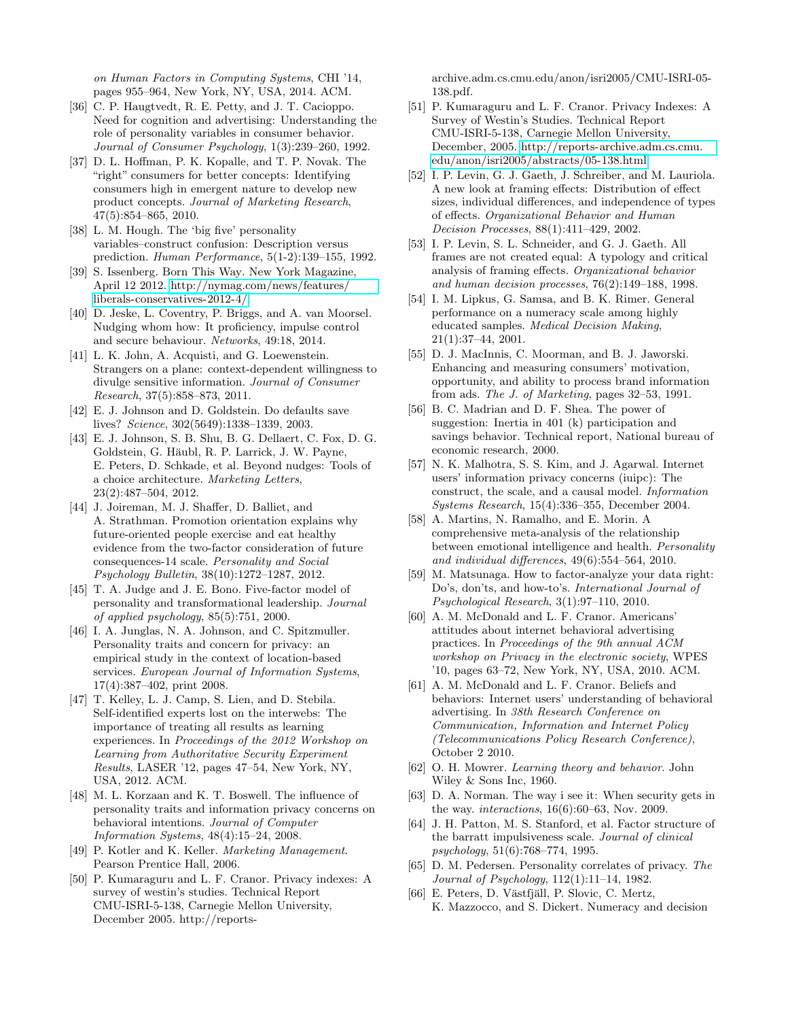on Human Factors in Computing Systems, CHI '14, pages 955–964, New York, NY, USA, 2014. ACM.

- <span id="page-11-11"></span>[36] C. P. Haugtvedt, R. E. Petty, and J. T. Cacioppo. Need for cognition and advertising: Understanding the role of personality variables in consumer behavior. Journal of Consumer Psychology, 1(3):239–260, 1992.
- <span id="page-11-10"></span>[37] D. L. Hoffman, P. K. Kopalle, and T. P. Novak. The "right" consumers for better concepts: Identifying consumers high in emergent nature to develop new product concepts. Journal of Marketing Research, 47(5):854–865, 2010.
- <span id="page-11-27"></span>[38] L. M. Hough. The 'big five' personality variables–construct confusion: Description versus prediction. Human Performance, 5(1-2):139–155, 1992.
- <span id="page-11-7"></span>[39] S. Issenberg. Born This Way. New York Magazine, April 12 2012. [http://nymag.com/news/features/](http://nymag.com/news/features/liberals-conservatives-2012-4/) [liberals-conservatives-2012-4/.](http://nymag.com/news/features/liberals-conservatives-2012-4/)
- <span id="page-11-19"></span>[40] D. Jeske, L. Coventry, P. Briggs, and A. van Moorsel. Nudging whom how: It proficiency, impulse control and secure behaviour. Networks, 49:18, 2014.
- <span id="page-11-25"></span>[41] L. K. John, A. Acquisti, and G. Loewenstein. Strangers on a plane: context-dependent willingness to divulge sensitive information. Journal of Consumer Research, 37(5):858–873, 2011.
- <span id="page-11-16"></span>[42] E. J. Johnson and D. Goldstein. Do defaults save lives? Science, 302(5649):1338–1339, 2003.
- <span id="page-11-14"></span>[43] E. J. Johnson, S. B. Shu, B. G. Dellaert, C. Fox, D. G. Goldstein, G. Häubl, R. P. Larrick, J. W. Payne, E. Peters, D. Schkade, et al. Beyond nudges: Tools of a choice architecture. Marketing Letters, 23(2):487–504, 2012.
- <span id="page-11-30"></span>[44] J. Joireman, M. J. Shaffer, D. Balliet, and A. Strathman. Promotion orientation explains why future-oriented people exercise and eat healthy evidence from the two-factor consideration of future consequences-14 scale. Personality and Social Psychology Bulletin, 38(10):1272–1287, 2012.
- <span id="page-11-28"></span>[45] T. A. Judge and J. E. Bono. Five-factor model of personality and transformational leadership. Journal of applied psychology, 85(5):751, 2000.
- <span id="page-11-21"></span>[46] I. A. Junglas, N. A. Johnson, and C. Spitzmuller. Personality traits and concern for privacy: an empirical study in the context of location-based services. European Journal of Information Systems, 17(4):387–402, print 2008.
- <span id="page-11-20"></span>[47] T. Kelley, L. J. Camp, S. Lien, and D. Stebila. Self-identified experts lost on the interwebs: The importance of treating all results as learning experiences. In Proceedings of the 2012 Workshop on Learning from Authoritative Security Experiment Results, LASER '12, pages 47–54, New York, NY, USA, 2012. ACM.
- <span id="page-11-22"></span>[48] M. L. Korzaan and K. T. Boswell. The influence of personality traits and information privacy concerns on behavioral intentions. Journal of Computer Information Systems, 48(4):15–24, 2008.
- <span id="page-11-4"></span>[49] P. Kotler and K. Keller. Marketing Management. Pearson Prentice Hall, 2006.
- <span id="page-11-2"></span>[50] P. Kumaraguru and L. F. Cranor. Privacy indexes: A survey of westin's studies. Technical Report CMU-ISRI-5-138, Carnegie Mellon University, December 2005. http://reports-

archive.adm.cs.cmu.edu/anon/isri2005/CMU-ISRI-05- 138.pdf.

- <span id="page-11-23"></span>[51] P. Kumaraguru and L. F. Cranor. Privacy Indexes: A Survey of Westin's Studies. Technical Report CMU-ISRI-5-138, Carnegie Mellon University, December, 2005. [http://reports-archive.adm.cs.cmu.](http://reports-archive.adm.cs.cmu.edu/anon/isri2005/abstracts/05-138.html) [edu/anon/isri2005/abstracts/05-138.html.](http://reports-archive.adm.cs.cmu.edu/anon/isri2005/abstracts/05-138.html)
- <span id="page-11-13"></span>[52] I. P. Levin, G. J. Gaeth, J. Schreiber, and M. Lauriola. A new look at framing effects: Distribution of effect sizes, individual differences, and independence of types of effects. Organizational Behavior and Human Decision Processes, 88(1):411–429, 2002.
- <span id="page-11-12"></span>[53] I. P. Levin, S. L. Schneider, and G. J. Gaeth. All frames are not created equal: A typology and critical analysis of framing effects. Organizational behavior and human decision processes, 76(2):149–188, 1998.
- <span id="page-11-17"></span>[54] I. M. Lipkus, G. Samsa, and B. K. Rimer. General performance on a numeracy scale among highly educated samples. Medical Decision Making, 21(1):37–44, 2001.
- <span id="page-11-9"></span>[55] D. J. MacInnis, C. Moorman, and B. J. Jaworski. Enhancing and measuring consumers' motivation, opportunity, and ability to process brand information from ads. The J. of Marketing, pages 32–53, 1991.
- <span id="page-11-15"></span>[56] B. C. Madrian and D. F. Shea. The power of suggestion: Inertia in 401 (k) participation and savings behavior. Technical report, National bureau of economic research, 2000.
- <span id="page-11-24"></span>[57] N. K. Malhotra, S. S. Kim, and J. Agarwal. Internet users' information privacy concerns (iuipc): The construct, the scale, and a causal model. Information Systems Research, 15(4):336–355, December 2004.
- <span id="page-11-8"></span>[58] A. Martins, N. Ramalho, and E. Morin. A comprehensive meta-analysis of the relationship between emotional intelligence and health. Personality and individual differences, 49(6):554–564, 2010.
- <span id="page-11-26"></span>[59] M. Matsunaga. How to factor-analyze your data right: Do's, don'ts, and how-to's. International Journal of Psychological Research, 3(1):97–110, 2010.
- <span id="page-11-6"></span>[60] A. M. McDonald and L. F. Cranor. Americans' attitudes about internet behavioral advertising practices. In Proceedings of the 9th annual ACM workshop on Privacy in the electronic society, WPES '10, pages 63–72, New York, NY, USA, 2010. ACM.
- <span id="page-11-5"></span>[61] A. M. McDonald and L. F. Cranor. Beliefs and behaviors: Internet users' understanding of behavioral advertising. In 38th Research Conference on Communication, Information and Internet Policy (Telecommunications Policy Research Conference), October 2 2010.
- <span id="page-11-0"></span>[62] O. H. Mowrer. Learning theory and behavior. John Wiley & Sons Inc, 1960.
- <span id="page-11-1"></span>[63] D. A. Norman. The way i see it: When security gets in the way. interactions, 16(6):60–63, Nov. 2009.
- <span id="page-11-29"></span>[64] J. H. Patton, M. S. Stanford, et al. Factor structure of the barratt impulsiveness scale. Journal of clinical psychology, 51(6):768–774, 1995.
- <span id="page-11-3"></span>[65] D. M. Pedersen. Personality correlates of privacy. The Journal of Psychology, 112(1):11–14, 1982.
- <span id="page-11-18"></span>[66] E. Peters, D. Västfjäll, P. Slovic, C. Mertz, K. Mazzocco, and S. Dickert. Numeracy and decision